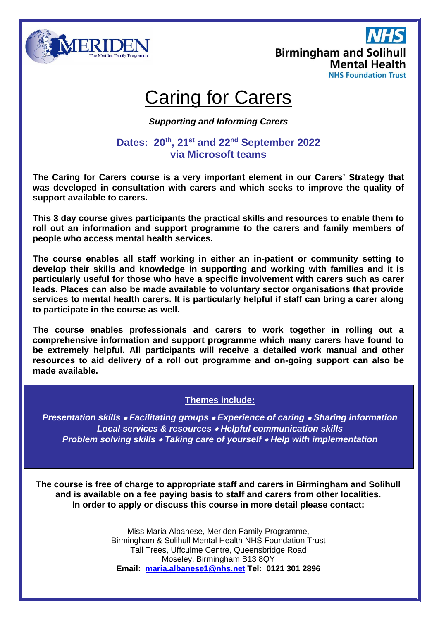

**Birmingham and Solihull Mental Health NHS Foundation Trust** 

# Caring for Carers

*Supporting and Informing Carers*

## **Dates: 20th , 21 st and 22nd September 2022 via Microsoft teams**

**The Caring for Carers course is a very important element in our Carers' Strategy that was developed in consultation with carers and which seeks to improve the quality of support available to carers.**

**This 3 day course gives participants the practical skills and resources to enable them to roll out an information and support programme to the carers and family members of people who access mental health services.**

**The course enables all staff working in either an in-patient or community setting to develop their skills and knowledge in supporting and working with families and it is particularly useful for those who have a specific involvement with carers such as carer leads. Places can also be made available to voluntary sector organisations that provide services to mental health carers. It is particularly helpful if staff can bring a carer along to participate in the course as well.**

**The course enables professionals and carers to work together in rolling out a comprehensive information and support programme which many carers have found to be extremely helpful. All participants will receive a detailed work manual and other resources to aid delivery of a roll out programme and on-going support can also be made available.**

## **Themes include:**

*Presentation skills* • *Facilitating groups* • *Experience of caring* • *Sharing information Local services & resources* • *Helpful communication skills Problem solving skills* • *Taking care of yourself* • *Help with implementation*

**The course is free of charge to appropriate staff and carers in Birmingham and Solihull and is available on a fee paying basis to staff and carers from other localities. In order to apply or discuss this course in more detail please contact:**

> Miss Maria Albanese, Meriden Family Programme, Birmingham & Solihull Mental Health NHS Foundation Trust Tall Trees, Uffculme Centre, Queensbridge Road Moseley, Birmingham B13 8QY **Email: [maria.albanese1@nhs.net](mailto:maria.albanese1@nhs.net) Tel: 0121 301 2896**